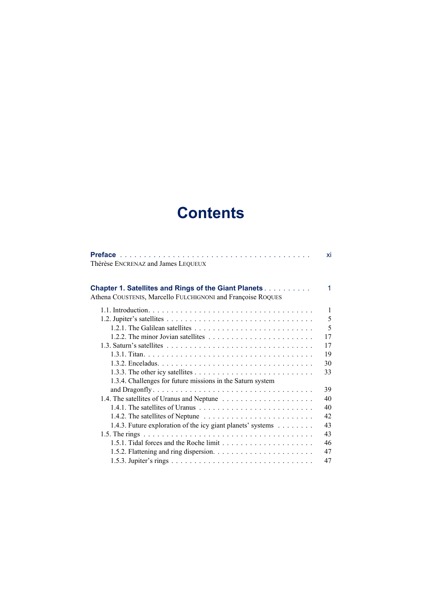## **Contents**

|                                                                                                                            | xi |
|----------------------------------------------------------------------------------------------------------------------------|----|
| Thérèse ENCRENAZ and James LEQUEUX                                                                                         |    |
|                                                                                                                            |    |
| <b>Chapter 1. Satellites and Rings of the Giant Planets</b><br>Athena COUSTENIS, Marcello FULCHIGNONI and Françoise ROQUES | 1  |
|                                                                                                                            | 1  |
|                                                                                                                            | 5  |
| 1.2.1. The Galilean satellites $\ldots \ldots \ldots \ldots \ldots \ldots \ldots \ldots$                                   | 5  |
|                                                                                                                            | 17 |
|                                                                                                                            | 17 |
|                                                                                                                            | 19 |
|                                                                                                                            | 30 |
|                                                                                                                            | 33 |
| 1.3.4. Challenges for future missions in the Saturn system                                                                 |    |
|                                                                                                                            | 39 |
| 1.4. The satellites of Uranus and Neptune                                                                                  | 40 |
|                                                                                                                            | 40 |
|                                                                                                                            | 42 |
| 1.4.3. Future exploration of the icy giant planets' systems                                                                | 43 |
|                                                                                                                            | 43 |
| 1.5.1. Tidal forces and the Roche limit $\dots \dots \dots \dots \dots \dots \dots$                                        | 46 |
|                                                                                                                            | 47 |
|                                                                                                                            | 47 |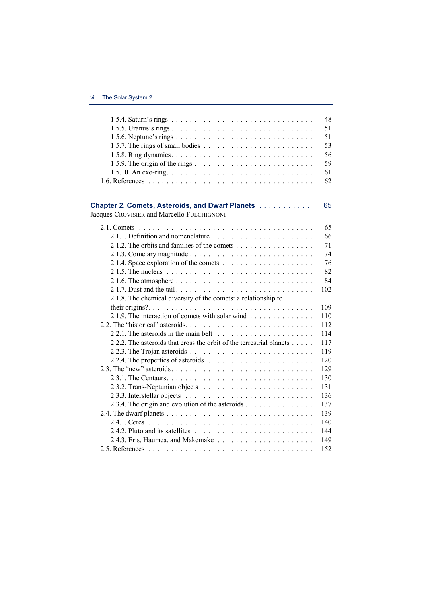|                                                                                               | 48  |
|-----------------------------------------------------------------------------------------------|-----|
| 1.5.5. Uranus's rings                                                                         | 51  |
|                                                                                               | 51  |
|                                                                                               | 53  |
|                                                                                               | 56  |
|                                                                                               | 59  |
|                                                                                               | 61  |
|                                                                                               | 62  |
| Chapter 2. Comets, Asteroids, and Dwarf Planets<br>Jacques CROVISIER and Marcello FULCHIGNONI | 65  |
|                                                                                               | 65  |
|                                                                                               | 66  |
| 2.1.2. The orbits and families of the comets                                                  | 71  |
|                                                                                               | 74  |
|                                                                                               | 76  |
|                                                                                               | 82  |
|                                                                                               | 84  |
|                                                                                               | 102 |
| 2.1.8. The chemical diversity of the comets: a relationship to                                |     |
|                                                                                               | 109 |
| 2.1.9. The interaction of comets with solar wind                                              | 110 |
|                                                                                               | 112 |
|                                                                                               | 114 |
| 2.2.2. The asteroids that cross the orbit of the terrestrial planets                          | 117 |
| 2.2.3. The Trojan asteroids $\ldots \ldots \ldots \ldots \ldots \ldots \ldots \ldots$         | 119 |
| 2.2.4. The properties of asteroids $\ldots \ldots \ldots \ldots \ldots \ldots \ldots$         | 120 |
|                                                                                               | 129 |
|                                                                                               | 130 |
|                                                                                               | 131 |
|                                                                                               | 136 |
| 2.3.4. The origin and evolution of the asteroids $\dots \dots \dots \dots \dots$              | 137 |
|                                                                                               | 139 |
|                                                                                               | 140 |
|                                                                                               | 144 |
|                                                                                               | 149 |
|                                                                                               | 152 |
|                                                                                               |     |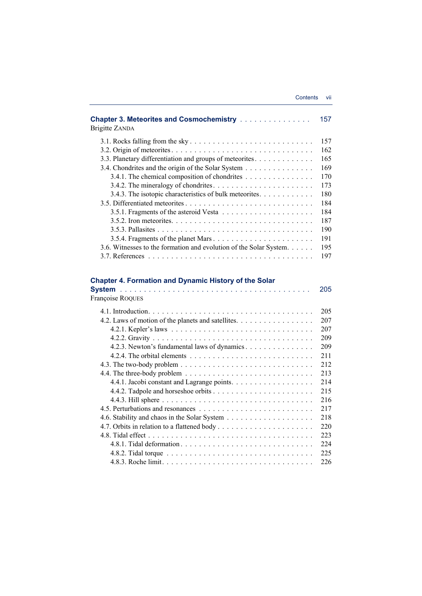| <b>Chapter 3. Meteorites and Cosmochemistry </b><br><b>Brigitte ZANDA</b> | 157 |
|---------------------------------------------------------------------------|-----|
|                                                                           | 157 |
|                                                                           | 162 |
| 3.3. Planetary differentiation and groups of meteorites.                  | 165 |
| 3.4. Chondrites and the origin of the Solar System                        | 169 |
| 3.4.1. The chemical composition of chondrites                             | 170 |
|                                                                           | 173 |
| 3.4.3. The isotopic characteristics of bulk meteorites.                   | 180 |
|                                                                           | 184 |
|                                                                           | 184 |
|                                                                           | 187 |
|                                                                           | 190 |
|                                                                           | 191 |
| 3.6. Witnesses to the formation and evolution of the Solar System.        | 195 |
|                                                                           | 197 |

## **Chapter 4. Formation and Dynamic History of the Solar**

| 205<br>Françoise ROQUES                                                                                    |  |
|------------------------------------------------------------------------------------------------------------|--|
| 205                                                                                                        |  |
| 4.2. Laws of motion of the planets and satellites.<br>207                                                  |  |
| 207                                                                                                        |  |
| 209                                                                                                        |  |
| 4.2.3. Newton's fundamental laws of dynamics<br>209                                                        |  |
| 211                                                                                                        |  |
| 212<br>4.3. The two-body problem $\dots \dots \dots \dots \dots \dots \dots \dots \dots \dots \dots \dots$ |  |
| 4.4. The three-body problem $\dots \dots \dots \dots \dots \dots \dots \dots \dots \dots \dots$<br>213     |  |
| 214                                                                                                        |  |
| 215                                                                                                        |  |
| 216                                                                                                        |  |
| 217                                                                                                        |  |
| 218                                                                                                        |  |
| 220                                                                                                        |  |
| 223                                                                                                        |  |
| 224                                                                                                        |  |
| 225                                                                                                        |  |
| 226                                                                                                        |  |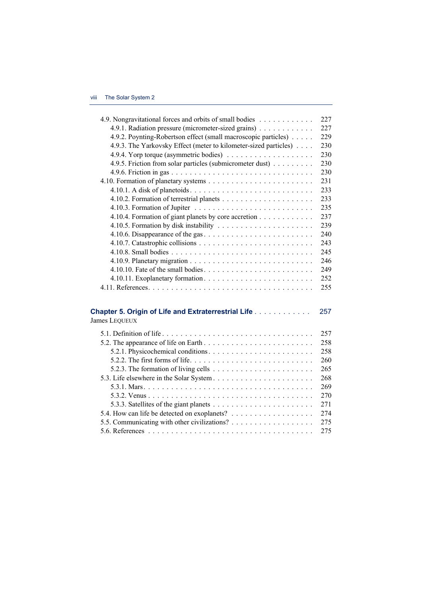| 4.9. Nongravitational forces and orbits of small bodies                                          | 227 |
|--------------------------------------------------------------------------------------------------|-----|
| 4.9.1. Radiation pressure (micrometer-sized grains)                                              | 227 |
| 4.9.2. Poynting-Robertson effect (small macroscopic particles)                                   | 229 |
| 4.9.3. The Yarkovsky Effect (meter to kilometer-sized particles)                                 | 230 |
|                                                                                                  | 230 |
| 4.9.5. Friction from solar particles (submicrometer dust)                                        | 230 |
|                                                                                                  | 230 |
|                                                                                                  | 231 |
|                                                                                                  | 233 |
|                                                                                                  | 233 |
|                                                                                                  | 235 |
| 4.10.4. Formation of giant planets by core accretion                                             | 237 |
|                                                                                                  | 239 |
|                                                                                                  | 240 |
|                                                                                                  | 243 |
|                                                                                                  | 245 |
|                                                                                                  | 246 |
| 4.10.10. Fate of the small bodies. $\dots \dots \dots \dots \dots \dots \dots \dots \dots \dots$ | 249 |
|                                                                                                  | 252 |
|                                                                                                  | 255 |
|                                                                                                  |     |
|                                                                                                  |     |
| <b>Chapter 5. Origin of Life and Extraterrestrial Life</b>                                       | 257 |
| James LEQUEUX                                                                                    |     |
|                                                                                                  | 257 |
|                                                                                                  | 258 |
|                                                                                                  | 258 |
|                                                                                                  | 260 |
| 5.2.3. The formation of living cells $\dots \dots \dots \dots \dots \dots \dots \dots$           | 265 |
|                                                                                                  | 268 |
|                                                                                                  | 269 |
|                                                                                                  | 270 |
|                                                                                                  | 271 |
|                                                                                                  | 274 |
|                                                                                                  | 275 |
|                                                                                                  | 275 |